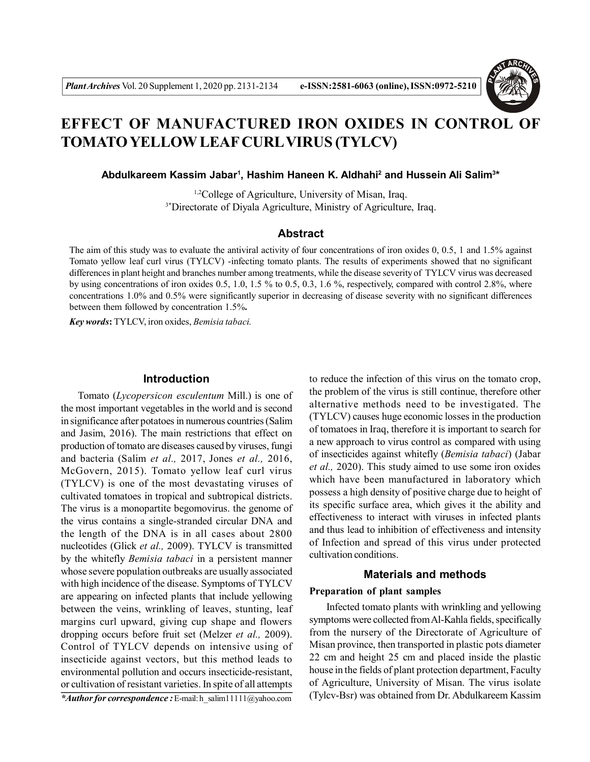

# **EFFECT OF MANUFACTURED IRON OXIDES IN CONTROL OF TOMATO YELLOW LEAF CURLVIRUS (TYLCV)**

Abdulkareem Kassim Jabar<sup>1</sup>, Hashim Haneen K. Aldhahi<sup>2</sup> and Hussein Ali Salim<sup>3\*</sup>

1,2College of Agriculture, University of Misan, Iraq. <sup>3\*</sup>Directorate of Diyala Agriculture, Ministry of Agriculture, Iraq.

## **Abstract**

The aim of this study was to evaluate the antiviral activity of four concentrations of iron oxides 0, 0.5, 1 and 1.5% against Tomato yellow leaf curl virus (TYLCV) -infecting tomato plants. The results of experiments showed that no significant differences in plant height and branches number among treatments, while the disease severity of TYLCV virus was decreased by using concentrations of iron oxides 0.5, 1.0, 1.5 % to 0.5, 0.3, 1.6 %, respectively, compared with control 2.8%, where concentrations 1.0% and 0.5% were significantly superior in decreasing of disease severity with no significant differences between them followed by concentration 1.5%**.**

*Key words***:** TYLCV, iron oxides, *Bemisia tabaci.*

#### **Introduction**

Tomato (*Lycopersicon esculentum* Mill.) is one of the most important vegetables in the world and is second in significance after potatoes in numerous countries (Salim and Jasim, 2016). The main restrictions that effect on production of tomato are diseases caused by viruses, fungi and bacteria (Salim *et al.,* 2017, Jones *et al.,* 2016, McGovern, 2015). Tomato yellow leaf curl virus (TYLCV) is one of the most devastating viruses of cultivated tomatoes in tropical and subtropical districts. The virus is a monopartite begomovirus. the genome of the virus contains a single-stranded circular DNA and the length of the DNA is in all cases about 2800 nucleotides (Glick *et al.,* 2009). TYLCV is transmitted by the whitefly *Bemisia tabaci* in a persistent manner whose severe population outbreaks are usually associated with high incidence of the disease. Symptoms of TYLCV are appearing on infected plants that include yellowing between the veins, wrinkling of leaves, stunting, leaf margins curl upward, giving cup shape and flowers dropping occurs before fruit set (Melzer *et al.,* 2009). Control of TYLCV depends on intensive using of insecticide against vectors, but this method leads to environmental pollution and occurs insecticide-resistant, or cultivation of resistant varieties. In spite of all attempts

*\*Author for correspondence :* E-mail: h\_salim11111@yahoo.com

to reduce the infection of this virus on the tomato crop, the problem of the virus is still continue, therefore other alternative methods need to be investigated. The (TYLCV) causes huge economic losses in the production of tomatoes in Iraq, therefore it is important to search for a new approach to virus control as compared with using of insecticides against whitefly (*Bemisia tabaci*) (Jabar *et al.,* 2020). This study aimed to use some iron oxides which have been manufactured in laboratory which possess a high density of positive charge due to height of its specific surface area, which gives it the ability and effectiveness to interact with viruses in infected plants and thus lead to inhibition of effectiveness and intensity of Infection and spread of this virus under protected cultivation conditions.

## **Materials and methods**

## **Preparation of plant samples**

Infected tomato plants with wrinkling and yellowing symptoms were collected from Al-Kahla fields, specifically from the nursery of the Directorate of Agriculture of Misan province, then transported in plastic pots diameter 22 cm and height 25 cm and placed inside the plastic house in the fields of plant protection department, Faculty of Agriculture, University of Misan. The virus isolate (Tylcv-Bsr) was obtained from Dr. Abdulkareem Kassim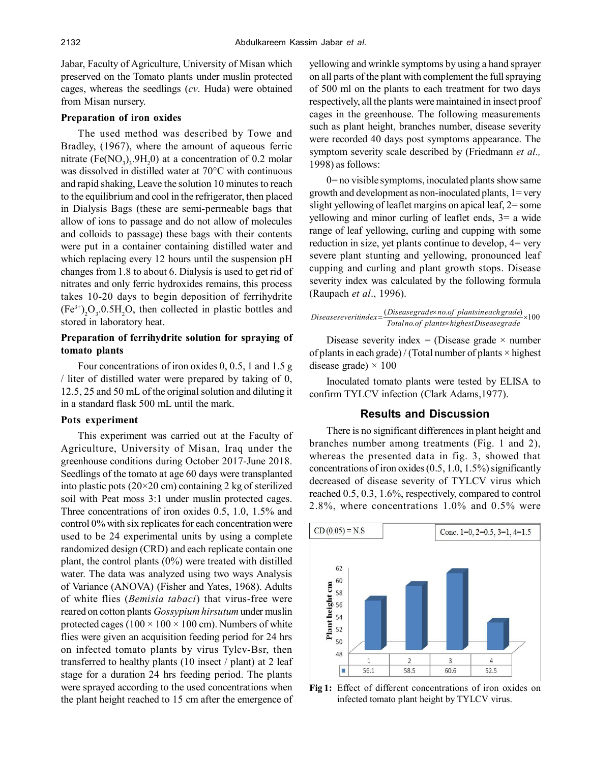Jabar, Faculty of Agriculture, University of Misan which preserved on the Tomato plants under muslin protected cages, whereas the seedlings (*cv*. Huda) were obtained from Misan nursery.

### **Preparation of iron oxides**

The used method was described by Towe and Bradley, (1967), where the amount of aqueous ferric mitrate  $(Fe(NO<sub>3</sub>)<sub>3</sub>$ .9H<sub>2</sub>0) at a concentration of 0.2 molar was dissolved in distilled water at 70°C with continuous and rapid shaking, Leave the solution 10 minutes to reach to the equilibrium and cool in the refrigerator, then placed in Dialysis Bags (these are semi-permeable bags that allow of ions to passage and do not allow of molecules and colloids to passage) these bags with their contents were put in a container containing distilled water and which replacing every 12 hours until the suspension pH changes from 1.8 to about 6. Dialysis is used to get rid of nitrates and only ferric hydroxides remains, this process takes 10-20 days to begin deposition of ferrihydrite  $(Fe^{3+})_2O_3.0.5H_2O$ , then collected in plastic bottles and stored in laboratory heat.

## **Preparation of ferrihydrite solution for spraying of tomato plants**

Four concentrations of iron oxides 0, 0.5, 1 and 1.5 g / liter of distilled water were prepared by taking of 0, 12.5, 25 and 50 mL of the original solution and diluting it in a standard flask 500 mL until the mark.

### **Pots experiment**

This experiment was carried out at the Faculty of Agriculture, University of Misan, Iraq under the greenhouse conditions during October 2017-June 2018. Seedlings of the tomato at age 60 days were transplanted into plastic pots (20×20 cm) containing 2 kg of sterilized soil with Peat moss 3:1 under muslin protected cages. Three concentrations of iron oxides 0.5, 1.0, 1.5% and control 0% with six replicates for each concentration were used to be 24 experimental units by using a complete randomized design (CRD) and each replicate contain one plant, the control plants (0%) were treated with distilled water. The data was analyzed using two ways Analysis of Variance (ANOVA) (Fisher and Yates, 1968). Adults of white flies (*Bemisia tabaci*) that virus-free were reared on cotton plants *Gossypium hirsutum* under muslin protected cages ( $100 \times 100 \times 100$  cm). Numbers of white flies were given an acquisition feeding period for 24 hrs on infected tomato plants by virus Tylcv-Bsr, then transferred to healthy plants (10 insect / plant) at 2 leaf stage for a duration 24 hrs feeding period. The plants were sprayed according to the used concentrations when the plant height reached to 15 cm after the emergence of yellowing and wrinkle symptoms by using a hand sprayer on all parts of the plant with complement the full spraying of 500 ml on the plants to each treatment for two days respectively, all the plants were maintained in insect proof cages in the greenhouse. The following measurements such as plant height, branches number, disease severity were recorded 40 days post symptoms appearance. The symptom severity scale described by (Friedmann *et al.,* 1998) as follows:

0= no visible symptoms, inoculated plants show same growth and development as non-inoculated plants,  $1 = \text{very}$ slight yellowing of leaflet margins on apical leaf, 2= some yellowing and minor curling of leaflet ends, 3= a wide range of leaf yellowing, curling and cupping with some reduction in size, yet plants continue to develop, 4= very severe plant stunting and yellowing, pronounced leaf cupping and curling and plant growth stops. Disease severity index was calculated by the following formula (Raupach *et al*., 1996).

$$
Dise a seeverit index = \frac{(Dise a segrad \, e \cdot no. of \, plants in each grade)}{Total no. of \, plants \cdot highest Dise a segrad e}
$$

Disease severity index = (Disease grade  $\times$  number of plants in each grade) / (Total number of plants  $\times$  highest disease grade)  $\times$  100

Inoculated tomato plants were tested by ELISA to confirm TYLCV infection (Clark Adams,1977).

## **Results and Discussion**

There is no significant differences in plant height and branches number among treatments (Fig. 1 and 2), whereas the presented data in fig. 3, showed that concentrations of iron oxides (0.5, 1.0, 1.5%) significantly decreased of disease severity of TYLCV virus which reached 0.5, 0.3, 1.6%, respectively, compared to control 2.8%, where concentrations 1.0% and 0.5% were



**Fig 1:** Effect of different concentrations of iron oxides on infected tomato plant height by TYLCV virus.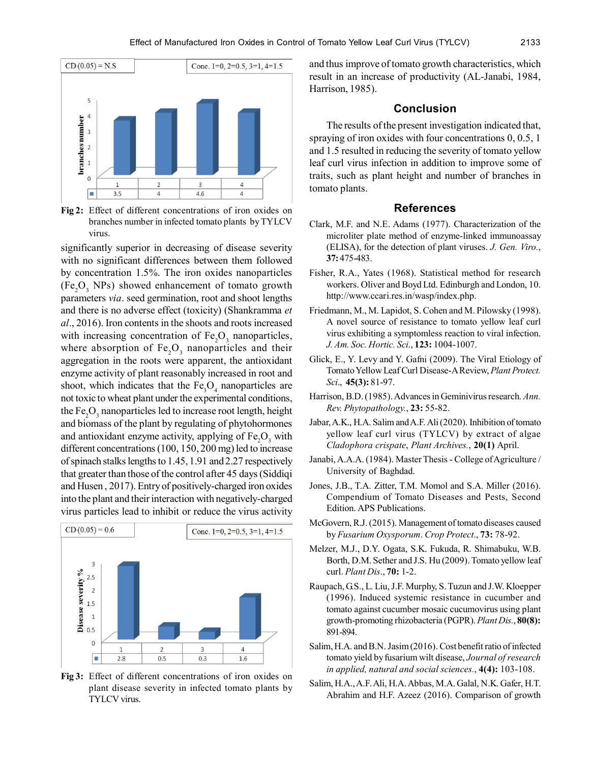

**Fig 2:** Effect of different concentrations of iron oxides on branches number in infected tomato plants by TYLCV virus.

significantly superior in decreasing of disease severity with no significant differences between them followed by concentration 1.5%. The iron oxides nanoparticles  $(Fe<sub>2</sub>O<sub>3</sub>$  NPs) showed enhancement of tomato growth parameters *via*. seed germination, root and shoot lengths and there is no adverse effect (toxicity) (Shankramma *et al*., 2016). Iron contents in the shoots and roots increased with increasing concentration of  $Fe<sub>2</sub>O<sub>3</sub>$  nanoparticles, where absorption of  $Fe<sub>2</sub>O<sub>3</sub>$  nanoparticles and their aggregation in the roots were apparent, the antioxidant enzyme activity of plant reasonably increased in root and shoot, which indicates that the  $Fe<sub>3</sub>O<sub>4</sub>$  nanoparticles are not toxic to wheat plant under the experimental conditions, the  $\text{Fe}_{2}\text{O}_{3}$  nanoparticles led to increase root length, height and biomass of the plant by regulating of phytohormones and antioxidant enzyme activity, applying of  $Fe<sub>2</sub>O<sub>3</sub>$  with different concentrations (100, 150, 200 mg) led to increase of spinach stalks lengths to 1.45, 1.91 and 2.27 respectively that greater than those of the control after 45 days (Siddiqi and Husen , 2017). Entry of positively-charged iron oxides into the plant and their interaction with negatively-charged virus particles lead to inhibit or reduce the virus activity



**Fig 3:** Effect of different concentrations of iron oxides on plant disease severity in infected tomato plants by TYLCV virus.

and thus improve of tomato growth characteristics, which result in an increase of productivity (AL-Janabi, 1984, Harrison, 1985).

#### **Conclusion**

The results of the present investigation indicated that, spraying of iron oxides with four concentrations 0, 0.5, 1 and 1.5 resulted in reducing the severity of tomato yellow leaf curl virus infection in addition to improve some of traits, such as plant height and number of branches in tomato plants.

#### **References**

- Clark, M.F. and N.E. Adams (1977). Characterization of the microliter plate method of enzyme-linked immunoassay (ELISA), for the detection of plant viruses. *J. Gen. Viro.*, **37:** 475-483.
- Fisher, R.A., Yates (1968). Statistical method for research workers. Oliver and Boyd Ltd. Edinburgh and London, 10. http://www.ccari.res.in/wasp/index.php.
- Friedmann, M., M. Lapidot, S. Cohen and M. Pilowsky (1998). A novel source of resistance to tomato yellow leaf curl virus exhibiting a symptomless reaction to viral infection. *J. Am. Soc. Hortic. Sci*., **123:** 1004-1007.
- Glick, E., Y. Levy and Y. Gafni (2009). The Viral Etiology of Tomato Yellow Leaf Curl Disease-A Review, *Plant Protect. Sci*., **45(3):** 81-97.
- Harrison, B.D. (1985). Advances in Geminivirus research. *Ann. Rev. Phytopathology.*, **23:** 55-82.
- Jabar, A.K., H.A. Salim and A.F. Ali (2020). Inhibition of tomato yellow leaf curl virus (TYLCV) by extract of algae *Cladophora crispate*, *Plant Archives.*, **20(1)** April.
- Janabi, A.A.A. (1984). Master Thesis College of Agriculture / University of Baghdad.
- Jones, J.B., T.A. Zitter, T.M. Momol and S.A. Miller (2016). Compendium of Tomato Diseases and Pests, Second Edition. APS Publications.
- McGovern, R.J. (2015). Management of tomato diseases caused by *Fusarium Oxysporum*. *Crop Protect*., **73:** 78-92.
- Melzer, M.J., D.Y. Ogata, S.K. Fukuda, R. Shimabuku, W.B. Borth, D.M. Sether and J.S. Hu (2009). Tomato yellow leaf curl. *Plant Dis*., **70:** 1-2.
- Raupach, G.S., L. Liu, J.F. Murphy, S. Tuzun and J.W. Kloepper (1996). Induced systemic resistance in cucumber and tomato against cucumber mosaic cucumovirus using plant growth-promoting rhizobacteria (PGPR). *Plant Dis.*, **80(8):** 891-894.
- Salim, H.A. and B.N. Jasim (2016). Cost benefit ratio of infected tomato yield by fusarium wilt disease, *Journal of research in applied, natural and social sciences.*, **4(4):** 103-108.
- Salim, H.A., A.F. Ali, H.A. Abbas, M.A. Galal, N.K. Gafer, H.T. Abrahim and H.F. Azeez (2016). Comparison of growth